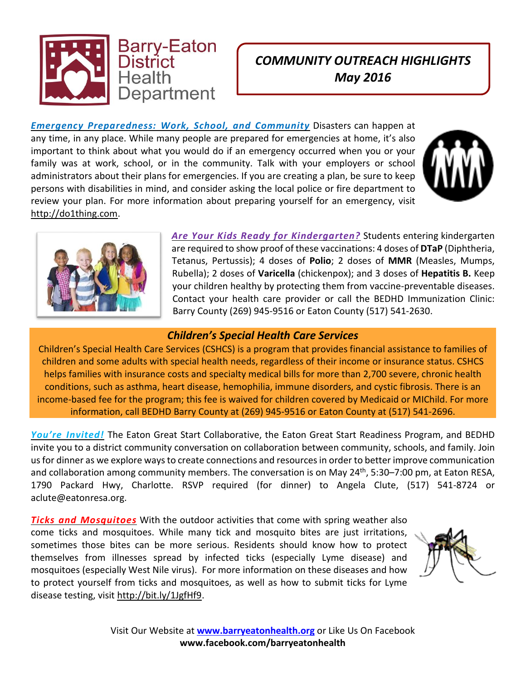

## *COMMUNITY OUTREACH HIGHLIGHTS May 2016*

*Emergency Preparedness: Work, School, and Community* Disasters can happen at any time, in any place. While many people are prepared for emergencies at home, it's also important to think about what you would do if an emergency occurred when you or your family was at work, school, or in the community. Talk with your employers or school administrators about their plans for emergencies. If you are creating a plan, be sure to keep persons with disabilities in mind, and consider asking the local police or fire department to review your plan. For more information about preparing yourself for an emergency, visit [http://do1thing.com.](http://do1thing.com/)





*Are Your Kids Ready for Kindergarten?* Students entering kindergarten are required to show proof of these vaccinations: 4 doses of **DTaP** (Diphtheria, Tetanus, Pertussis); 4 doses of **Polio**; 2 doses of **MMR** (Measles, Mumps, Rubella); 2 doses of **Varicella** (chickenpox); and 3 doses of **Hepatitis B.** Keep your children healthy by protecting them from vaccine-preventable diseases. Contact your health care provider or call the BEDHD Immunization Clinic: Barry County (269) 945-9516 or Eaton County (517) 541-2630.

## *Children's Special Health Care Services*

Children's Special Health Care Services (CSHCS) is a program that provides financial assistance to families of children and some adults with special health needs, regardless of their income or insurance status. CSHCS helps families with insurance costs and specialty medical bills for more than 2,700 severe, chronic health conditions, such as asthma, heart disease, hemophilia, immune disorders, and cystic fibrosis. There is an income-based fee for the program; this fee is waived for children covered by Medicaid or MIChild. For more information, call BEDHD Barry County at (269) 945-9516 or Eaton County at (517) 541-2696.

*You're Invited!* The Eaton Great Start Collaborative, the Eaton Great Start Readiness Program, and BEDHD invite you to a district community conversation on collaboration between community, schools, and family. Join usfor dinner as we explore waysto create connections and resourcesin order to better improve communication and collaboration among community members. The conversation is on May 24<sup>th</sup>, 5:30–7:00 pm, at Eaton RESA, 1790 Packard Hwy, Charlotte. RSVP required (for dinner) to Angela Clute, (517) 541-8724 or aclute@eatonresa.org.

*Ticks and Mosquitoes* With the outdoor activities that come with spring weather also come ticks and mosquitoes. While many tick and mosquito bites are just irritations, sometimes those bites can be more serious. Residents should know how to protect themselves from illnesses spread by infected ticks (especially Lyme disease) and mosquitoes (especially West Nile virus). For more information on these diseases and how to protect yourself from ticks and mosquitoes, as well as how to submit ticks for Lyme disease testing, visit [http://bit.ly/1JgfHf9.](http://bit.ly/1JgfHf9)



Visit Our Website at **[www.barryeatonhealth.org](http://www.barryeatonhealth.org/)** or Like Us On Facebook **www.facebook.com/barryeatonhealth**